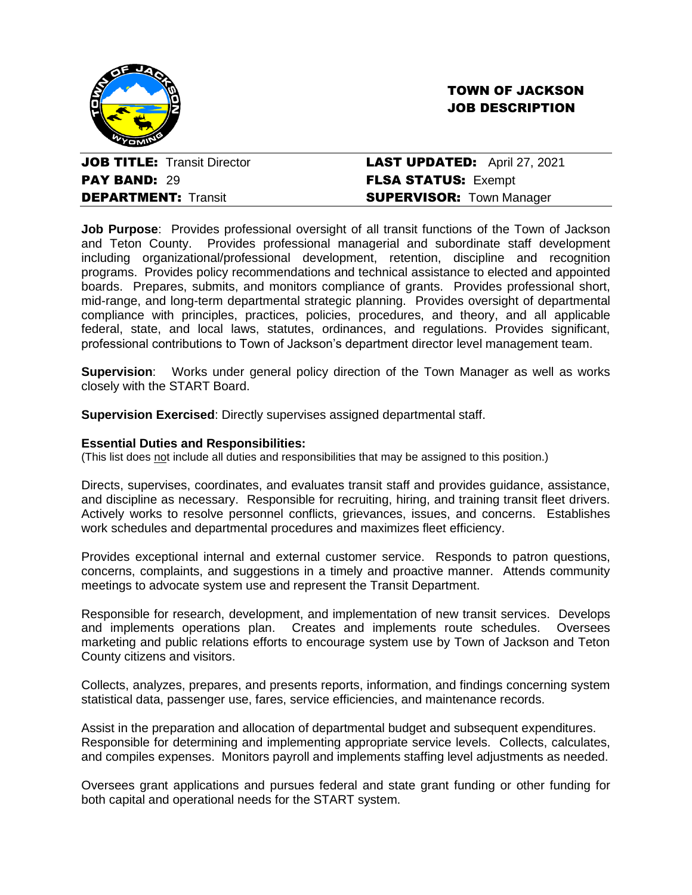



PAY BAND: 29 FLSA STATUS: Exempt

# **JOB TITLE:** Transit Director **LAST UPDATED:** April 27, 2021 **DEPARTMENT:** Transit **SUPERVISOR:** Town Manager

**Job Purpose**: Provides professional oversight of all transit functions of the Town of Jackson and Teton County. Provides professional managerial and subordinate staff development including organizational/professional development, retention, discipline and recognition programs. Provides policy recommendations and technical assistance to elected and appointed boards. Prepares, submits, and monitors compliance of grants. Provides professional short, mid-range, and long-term departmental strategic planning. Provides oversight of departmental compliance with principles, practices, policies, procedures, and theory, and all applicable federal, state, and local laws, statutes, ordinances, and regulations. Provides significant, professional contributions to Town of Jackson's department director level management team.

**Supervision:** Works under general policy direction of the Town Manager as well as works closely with the START Board.

**Supervision Exercised**: Directly supervises assigned departmental staff.

## **Essential Duties and Responsibilities:**

(This list does not include all duties and responsibilities that may be assigned to this position.)

Directs, supervises, coordinates, and evaluates transit staff and provides guidance, assistance, and discipline as necessary. Responsible for recruiting, hiring, and training transit fleet drivers. Actively works to resolve personnel conflicts, grievances, issues, and concerns. Establishes work schedules and departmental procedures and maximizes fleet efficiency.

Provides exceptional internal and external customer service. Responds to patron questions, concerns, complaints, and suggestions in a timely and proactive manner. Attends community meetings to advocate system use and represent the Transit Department.

Responsible for research, development, and implementation of new transit services. Develops and implements operations plan. Creates and implements route schedules. Oversees marketing and public relations efforts to encourage system use by Town of Jackson and Teton County citizens and visitors.

Collects, analyzes, prepares, and presents reports, information, and findings concerning system statistical data, passenger use, fares, service efficiencies, and maintenance records.

Assist in the preparation and allocation of departmental budget and subsequent expenditures. Responsible for determining and implementing appropriate service levels. Collects, calculates, and compiles expenses. Monitors payroll and implements staffing level adjustments as needed.

Oversees grant applications and pursues federal and state grant funding or other funding for both capital and operational needs for the START system.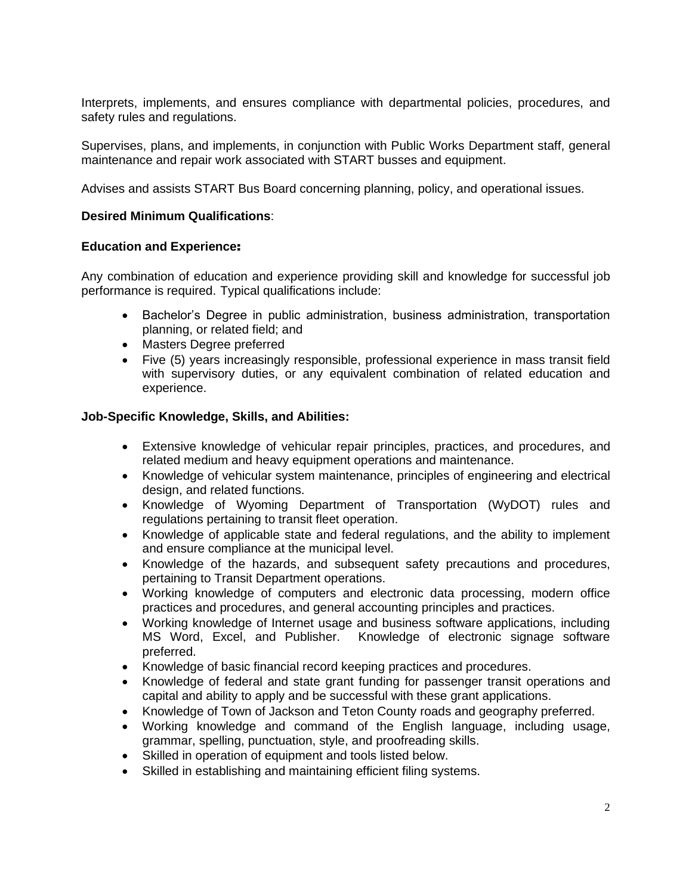Interprets, implements, and ensures compliance with departmental policies, procedures, and safety rules and regulations.

Supervises, plans, and implements, in conjunction with Public Works Department staff. general maintenance and repair work associated with START busses and equipment.

Advises and assists START Bus Board concerning planning, policy, and operational issues.

#### **Desired Minimum Qualifications**:

## **Education and Experience**:

Any combination of education and experience providing skill and knowledge for successful job performance is required. Typical qualifications include:

- Bachelor's Degree in public administration, business administration, transportation planning, or related field; and
- Masters Degree preferred
- Five (5) years increasingly responsible, professional experience in mass transit field with supervisory duties, or any equivalent combination of related education and experience.

## **Job-Specific Knowledge, Skills, and Abilities:**

- Extensive knowledge of vehicular repair principles, practices, and procedures, and related medium and heavy equipment operations and maintenance.
- Knowledge of vehicular system maintenance, principles of engineering and electrical design, and related functions.
- Knowledge of Wyoming Department of Transportation (WyDOT) rules and regulations pertaining to transit fleet operation.
- Knowledge of applicable state and federal regulations, and the ability to implement and ensure compliance at the municipal level.
- Knowledge of the hazards, and subsequent safety precautions and procedures, pertaining to Transit Department operations.
- Working knowledge of computers and electronic data processing, modern office practices and procedures, and general accounting principles and practices.
- Working knowledge of Internet usage and business software applications, including MS Word, Excel, and Publisher. Knowledge of electronic signage software preferred.
- Knowledge of basic financial record keeping practices and procedures.
- Knowledge of federal and state grant funding for passenger transit operations and capital and ability to apply and be successful with these grant applications.
- Knowledge of Town of Jackson and Teton County roads and geography preferred.
- Working knowledge and command of the English language, including usage, grammar, spelling, punctuation, style, and proofreading skills.
- Skilled in operation of equipment and tools listed below.
- Skilled in establishing and maintaining efficient filing systems.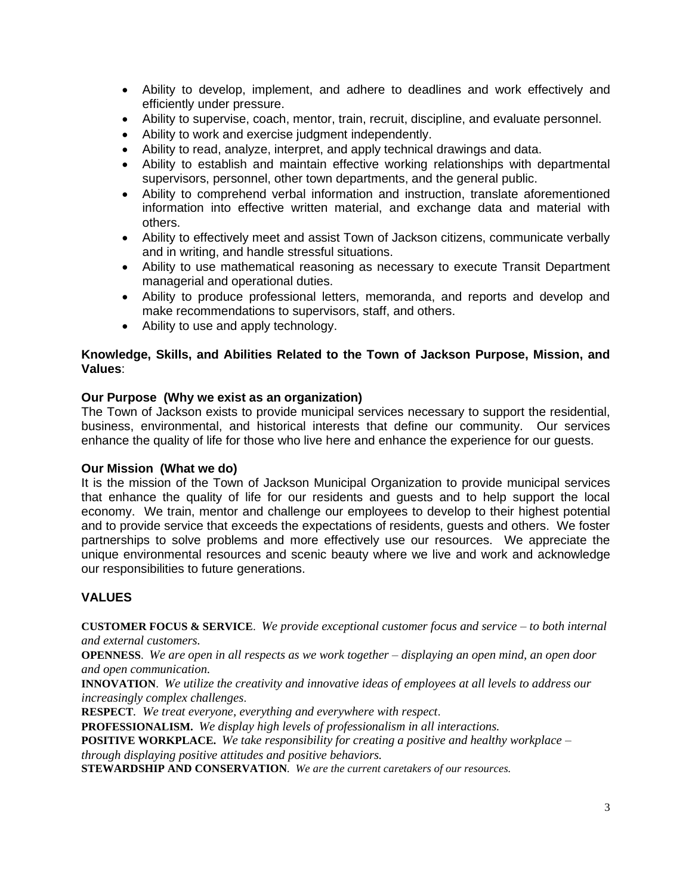- Ability to develop, implement, and adhere to deadlines and work effectively and efficiently under pressure.
- Ability to supervise, coach, mentor, train, recruit, discipline, and evaluate personnel.
- Ability to work and exercise judgment independently.
- Ability to read, analyze, interpret, and apply technical drawings and data.
- Ability to establish and maintain effective working relationships with departmental supervisors, personnel, other town departments, and the general public.
- Ability to comprehend verbal information and instruction, translate aforementioned information into effective written material, and exchange data and material with others.
- Ability to effectively meet and assist Town of Jackson citizens, communicate verbally and in writing, and handle stressful situations.
- Ability to use mathematical reasoning as necessary to execute Transit Department managerial and operational duties.
- Ability to produce professional letters, memoranda, and reports and develop and make recommendations to supervisors, staff, and others.
- Ability to use and apply technology.

## **Knowledge, Skills, and Abilities Related to the Town of Jackson Purpose, Mission, and Values**:

#### **Our Purpose (Why we exist as an organization)**

The Town of Jackson exists to provide municipal services necessary to support the residential, business, environmental, and historical interests that define our community. Our services enhance the quality of life for those who live here and enhance the experience for our guests.

#### **Our Mission (What we do)**

It is the mission of the Town of Jackson Municipal Organization to provide municipal services that enhance the quality of life for our residents and guests and to help support the local economy. We train, mentor and challenge our employees to develop to their highest potential and to provide service that exceeds the expectations of residents, guests and others. We foster partnerships to solve problems and more effectively use our resources. We appreciate the unique environmental resources and scenic beauty where we live and work and acknowledge our responsibilities to future generations.

# **VALUES**

**CUSTOMER FOCUS & SERVICE**. *We provide exceptional customer focus and service – to both internal and external customers.*

**OPENNESS**. *We are open in all respects as we work together – displaying an open mind, an open door and open communication.*

**INNOVATION**. *We utilize the creativity and innovative ideas of employees at all levels to address our increasingly complex challenges*.

**RESPECT***. We treat everyone, everything and everywhere with respect*.

**PROFESSIONALISM.** *We display high levels of professionalism in all interactions.*

**POSITIVE WORKPLACE.** *We take responsibility for creating a positive and healthy workplace – through displaying positive attitudes and positive behaviors.*

**STEWARDSHIP AND CONSERVATION***. We are the current caretakers of our resources.*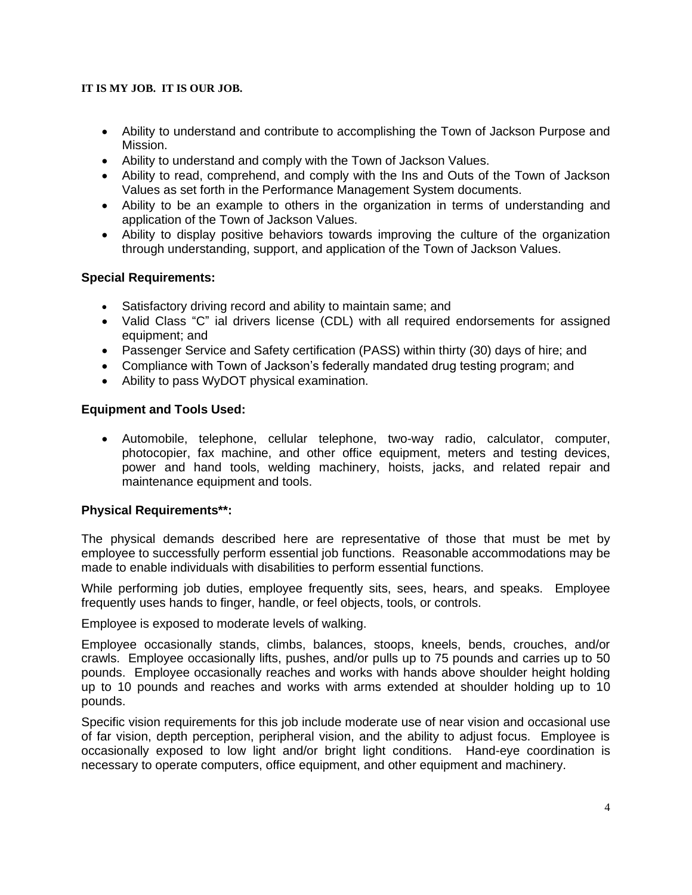# **IT IS MY JOB. IT IS OUR JOB.**

- Ability to understand and contribute to accomplishing the Town of Jackson Purpose and Mission.
- Ability to understand and comply with the Town of Jackson Values.
- Ability to read, comprehend, and comply with the Ins and Outs of the Town of Jackson Values as set forth in the Performance Management System documents.
- Ability to be an example to others in the organization in terms of understanding and application of the Town of Jackson Values.
- Ability to display positive behaviors towards improving the culture of the organization through understanding, support, and application of the Town of Jackson Values.

# **Special Requirements:**

- Satisfactory driving record and ability to maintain same; and
- Valid Class "C" ial drivers license (CDL) with all required endorsements for assigned equipment; and
- Passenger Service and Safety certification (PASS) within thirty (30) days of hire; and
- Compliance with Town of Jackson's federally mandated drug testing program; and
- Ability to pass WyDOT physical examination.

# **Equipment and Tools Used:**

• Automobile, telephone, cellular telephone, two-way radio, calculator, computer, photocopier, fax machine, and other office equipment, meters and testing devices, power and hand tools, welding machinery, hoists, jacks, and related repair and maintenance equipment and tools.

# **Physical Requirements\*\*:**

The physical demands described here are representative of those that must be met by employee to successfully perform essential job functions. Reasonable accommodations may be made to enable individuals with disabilities to perform essential functions.

While performing job duties, employee frequently sits, sees, hears, and speaks. Employee frequently uses hands to finger, handle, or feel objects, tools, or controls.

Employee is exposed to moderate levels of walking.

Employee occasionally stands, climbs, balances, stoops, kneels, bends, crouches, and/or crawls. Employee occasionally lifts, pushes, and/or pulls up to 75 pounds and carries up to 50 pounds. Employee occasionally reaches and works with hands above shoulder height holding up to 10 pounds and reaches and works with arms extended at shoulder holding up to 10 pounds.

Specific vision requirements for this job include moderate use of near vision and occasional use of far vision, depth perception, peripheral vision, and the ability to adjust focus. Employee is occasionally exposed to low light and/or bright light conditions. Hand-eye coordination is necessary to operate computers, office equipment, and other equipment and machinery.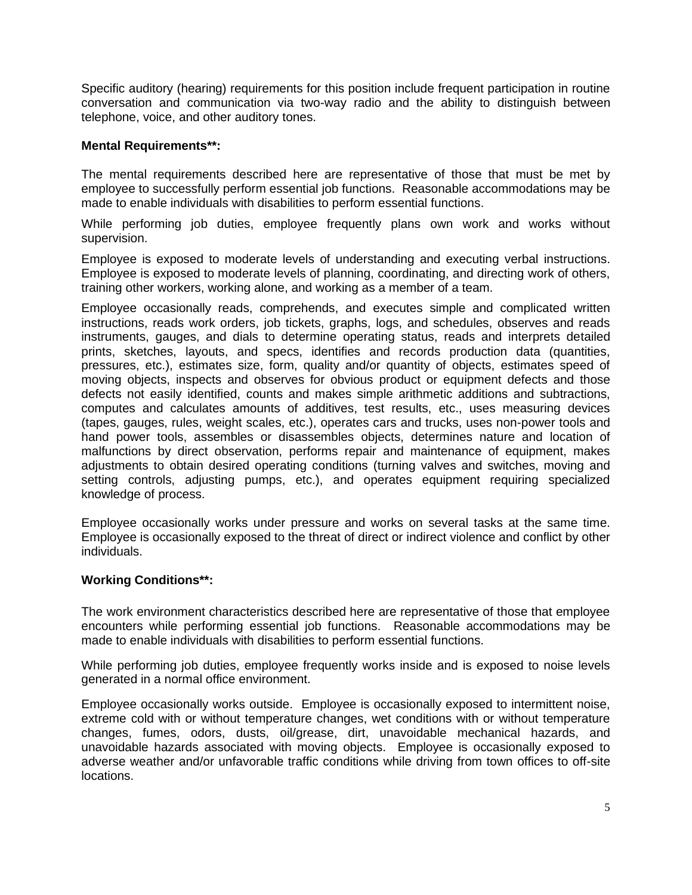Specific auditory (hearing) requirements for this position include frequent participation in routine conversation and communication via two-way radio and the ability to distinguish between telephone, voice, and other auditory tones.

## **Mental Requirements\*\*:**

The mental requirements described here are representative of those that must be met by employee to successfully perform essential job functions. Reasonable accommodations may be made to enable individuals with disabilities to perform essential functions.

While performing job duties, employee frequently plans own work and works without supervision.

Employee is exposed to moderate levels of understanding and executing verbal instructions. Employee is exposed to moderate levels of planning, coordinating, and directing work of others, training other workers, working alone, and working as a member of a team.

Employee occasionally reads, comprehends, and executes simple and complicated written instructions, reads work orders, job tickets, graphs, logs, and schedules, observes and reads instruments, gauges, and dials to determine operating status, reads and interprets detailed prints, sketches, layouts, and specs, identifies and records production data (quantities, pressures, etc.), estimates size, form, quality and/or quantity of objects, estimates speed of moving objects, inspects and observes for obvious product or equipment defects and those defects not easily identified, counts and makes simple arithmetic additions and subtractions, computes and calculates amounts of additives, test results, etc., uses measuring devices (tapes, gauges, rules, weight scales, etc.), operates cars and trucks, uses non-power tools and hand power tools, assembles or disassembles objects, determines nature and location of malfunctions by direct observation, performs repair and maintenance of equipment, makes adjustments to obtain desired operating conditions (turning valves and switches, moving and setting controls, adjusting pumps, etc.), and operates equipment requiring specialized knowledge of process.

Employee occasionally works under pressure and works on several tasks at the same time. Employee is occasionally exposed to the threat of direct or indirect violence and conflict by other individuals.

#### **Working Conditions\*\*:**

The work environment characteristics described here are representative of those that employee encounters while performing essential job functions. Reasonable accommodations may be made to enable individuals with disabilities to perform essential functions.

While performing job duties, employee frequently works inside and is exposed to noise levels generated in a normal office environment.

Employee occasionally works outside. Employee is occasionally exposed to intermittent noise, extreme cold with or without temperature changes, wet conditions with or without temperature changes, fumes, odors, dusts, oil/grease, dirt, unavoidable mechanical hazards, and unavoidable hazards associated with moving objects. Employee is occasionally exposed to adverse weather and/or unfavorable traffic conditions while driving from town offices to off-site locations.